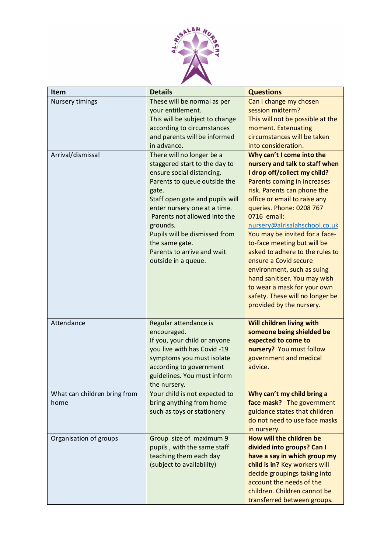

| <b>Item</b>                          | <b>Details</b>                                                                                                                                                                                                                                                                                                                                          | <b>Questions</b>                                                                                                                                                                                                                                                                                                                                                                                                                                                                                                                                               |
|--------------------------------------|---------------------------------------------------------------------------------------------------------------------------------------------------------------------------------------------------------------------------------------------------------------------------------------------------------------------------------------------------------|----------------------------------------------------------------------------------------------------------------------------------------------------------------------------------------------------------------------------------------------------------------------------------------------------------------------------------------------------------------------------------------------------------------------------------------------------------------------------------------------------------------------------------------------------------------|
| Nursery timings                      | These will be normal as per<br>your entitlement.<br>This will be subject to change<br>according to circumstances<br>and parents will be informed<br>in advance.                                                                                                                                                                                         | Can I change my chosen<br>session midterm?<br>This will not be possible at the<br>moment. Extenuating<br>circumstances will be taken<br>into consideration.                                                                                                                                                                                                                                                                                                                                                                                                    |
| Arrival/dismissal                    | There will no longer be a<br>staggered start to the day to<br>ensure social distancing.<br>Parents to queue outside the<br>gate.<br>Staff open gate and pupils will<br>enter nursery one at a time.<br>Parents not allowed into the<br>grounds.<br>Pupils will be dismissed from<br>the same gate.<br>Parents to arrive and wait<br>outside in a queue. | Why can't I come into the<br>nursery and talk to staff when<br>I drop off/collect my child?<br>Parents coming in increases<br>risk. Parents can phone the<br>office or email to raise any<br>queries. Phone: 0208 767<br>0716 email:<br>nursery@alrisalahschool.co.uk<br>You may be invited for a face-<br>to-face meeting but will be<br>asked to adhere to the rules to<br>ensure a Covid secure<br>environment, such as suing<br>hand sanitiser. You may wish<br>to wear a mask for your own<br>safety. These will no longer be<br>provided by the nursery. |
| Attendance                           | Regular attendance is<br>encouraged.<br>If you, your child or anyone<br>you live with has Covid -19<br>symptoms you must isolate<br>according to government<br>guidelines. You must inform<br>the nursery.                                                                                                                                              | Will children living with<br>someone being shielded be<br>expected to come to<br>nursery? You must follow<br>government and medical<br>advice.                                                                                                                                                                                                                                                                                                                                                                                                                 |
| What can children bring from<br>home | Your child is not expected to<br>bring anything from home<br>such as toys or stationery                                                                                                                                                                                                                                                                 | Why can't my child bring a<br>face mask? The government<br>guidance states that children<br>do not need to use face masks<br>in nursery.                                                                                                                                                                                                                                                                                                                                                                                                                       |
| Organisation of groups               | Group size of maximum 9<br>pupils, with the same staff<br>teaching them each day<br>(subject to availability)                                                                                                                                                                                                                                           | How will the children be<br>divided into groups? Can I<br>have a say in which group my<br>child is in? Key workers will<br>decide groupings taking into<br>account the needs of the<br>children. Children cannot be<br>transferred between groups.                                                                                                                                                                                                                                                                                                             |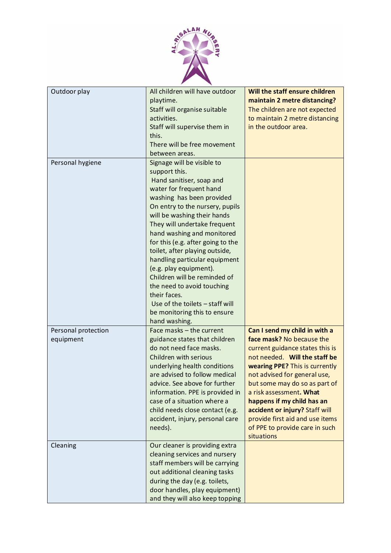

| Outdoor play        | All children will have outdoor    | Will the staff ensure children               |
|---------------------|-----------------------------------|----------------------------------------------|
|                     | playtime.                         | maintain 2 metre distancing?                 |
|                     | Staff will organise suitable      | The children are not expected                |
|                     | activities.                       | to maintain 2 metre distancing               |
|                     | Staff will supervise them in      | in the outdoor area.                         |
|                     | this.                             |                                              |
|                     | There will be free movement       |                                              |
|                     | between areas.                    |                                              |
| Personal hygiene    | Signage will be visible to        |                                              |
|                     | support this.                     |                                              |
|                     | Hand sanitiser, soap and          |                                              |
|                     | water for frequent hand           |                                              |
|                     | washing has been provided         |                                              |
|                     | On entry to the nursery, pupils   |                                              |
|                     | will be washing their hands       |                                              |
|                     | They will undertake frequent      |                                              |
|                     | hand washing and monitored        |                                              |
|                     | for this (e.g. after going to the |                                              |
|                     | toilet, after playing outside,    |                                              |
|                     | handling particular equipment     |                                              |
|                     | (e.g. play equipment).            |                                              |
|                     | Children will be reminded of      |                                              |
|                     | the need to avoid touching        |                                              |
|                     | their faces.                      |                                              |
|                     | Use of the toilets - staff will   |                                              |
|                     | be monitoring this to ensure      |                                              |
|                     | hand washing.                     |                                              |
| Personal protection | Face masks - the current          | Can I send my child in with a                |
| equipment           | guidance states that children     | face mask? No because the                    |
|                     | do not need face masks.           | current guidance states this is              |
|                     | Children with serious             | not needed. Will the staff be                |
|                     | underlying health conditions      | wearing PPE? This is currently               |
|                     | are advised to follow medical     | not advised for general use,                 |
|                     | advice. See above for further     | but some may do so as part of                |
|                     | information. PPE is provided in   | a risk assessment. What                      |
|                     | case of a situation where a       | happens if my child has an                   |
|                     | child needs close contact (e.g.   | accident or injury? Staff will               |
|                     | accident, injury, personal care   | provide first aid and use items              |
|                     | needs).                           | of PPE to provide care in such<br>situations |
| Cleaning            | Our cleaner is providing extra    |                                              |
|                     | cleaning services and nursery     |                                              |
|                     | staff members will be carrying    |                                              |
|                     | out additional cleaning tasks     |                                              |
|                     | during the day (e.g. toilets,     |                                              |
|                     | door handles, play equipment)     |                                              |
|                     | and they will also keep topping   |                                              |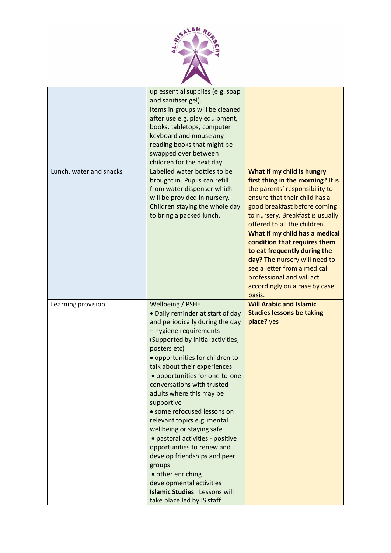

|                         | up essential supplies (e.g. soap<br>and sanitiser gel).<br>Items in groups will be cleaned<br>after use e.g. play equipment,<br>books, tabletops, computer<br>keyboard and mouse any<br>reading books that might be<br>swapped over between<br>children for the next day                                                                                                                                                                                                                                                                                                                                                                           |                                                                                                                                                                                                                                                                                                                                                                                                                                                                                  |
|-------------------------|----------------------------------------------------------------------------------------------------------------------------------------------------------------------------------------------------------------------------------------------------------------------------------------------------------------------------------------------------------------------------------------------------------------------------------------------------------------------------------------------------------------------------------------------------------------------------------------------------------------------------------------------------|----------------------------------------------------------------------------------------------------------------------------------------------------------------------------------------------------------------------------------------------------------------------------------------------------------------------------------------------------------------------------------------------------------------------------------------------------------------------------------|
| Lunch, water and snacks | Labelled water bottles to be<br>brought in. Pupils can refill<br>from water dispenser which<br>will be provided in nursery.<br>Children staying the whole day<br>to bring a packed lunch.                                                                                                                                                                                                                                                                                                                                                                                                                                                          | What if my child is hungry<br>first thing in the morning? It is<br>the parents' responsibility to<br>ensure that their child has a<br>good breakfast before coming<br>to nursery. Breakfast is usually<br>offered to all the children.<br>What if my child has a medical<br>condition that requires them<br>to eat frequently during the<br>day? The nursery will need to<br>see a letter from a medical<br>professional and will act<br>accordingly on a case by case<br>basis. |
| Learning provision      | Wellbeing / PSHE<br>• Daily reminder at start of day<br>and periodically during the day<br>- hygiene requirements<br>(Supported by initial activities,<br>posters etc)<br>· opportunities for children to<br>talk about their experiences<br>· opportunities for one-to-one<br>conversations with trusted<br>adults where this may be<br>supportive<br>· some refocused lessons on<br>relevant topics e.g. mental<br>wellbeing or staying safe<br>· pastoral activities - positive<br>opportunities to renew and<br>develop friendships and peer<br>groups<br>• other enriching<br>developmental activities<br><b>Islamic Studies</b> Lessons will | <b>Will Arabic and Islamic</b><br><b>Studies lessons be taking</b><br>place? yes                                                                                                                                                                                                                                                                                                                                                                                                 |
|                         | take place led by IS staff                                                                                                                                                                                                                                                                                                                                                                                                                                                                                                                                                                                                                         |                                                                                                                                                                                                                                                                                                                                                                                                                                                                                  |